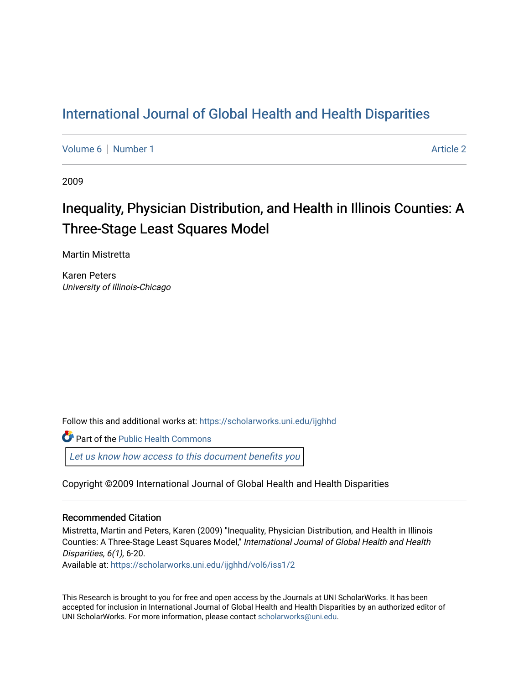## [International Journal of Global Health and Health Disparities](https://scholarworks.uni.edu/ijghhd)

[Volume 6](https://scholarworks.uni.edu/ijghhd/vol6) | [Number 1](https://scholarworks.uni.edu/ijghhd/vol6/iss1) Article 2

2009

# Inequality, Physician Distribution, and Health in Illinois Counties: A Three-Stage Least Squares Model

Martin Mistretta

Karen Peters University of Illinois-Chicago

Follow this and additional works at: [https://scholarworks.uni.edu/ijghhd](https://scholarworks.uni.edu/ijghhd?utm_source=scholarworks.uni.edu%2Fijghhd%2Fvol6%2Fiss1%2F2&utm_medium=PDF&utm_campaign=PDFCoverPages)

Part of the Public Health Commons

[Let us know how access to this document benefits you](https://scholarworks.uni.edu/feedback_form.html) 

Copyright ©2009 International Journal of Global Health and Health Disparities

## Recommended Citation

Mistretta, Martin and Peters, Karen (2009) "Inequality, Physician Distribution, and Health in Illinois Counties: A Three-Stage Least Squares Model," International Journal of Global Health and Health Disparities, 6(1), 6-20.

Available at: [https://scholarworks.uni.edu/ijghhd/vol6/iss1/2](https://scholarworks.uni.edu/ijghhd/vol6/iss1/2?utm_source=scholarworks.uni.edu%2Fijghhd%2Fvol6%2Fiss1%2F2&utm_medium=PDF&utm_campaign=PDFCoverPages) 

This Research is brought to you for free and open access by the Journals at UNI ScholarWorks. It has been accepted for inclusion in International Journal of Global Health and Health Disparities by an authorized editor of UNI ScholarWorks. For more information, please contact [scholarworks@uni.edu.](mailto:scholarworks@uni.edu)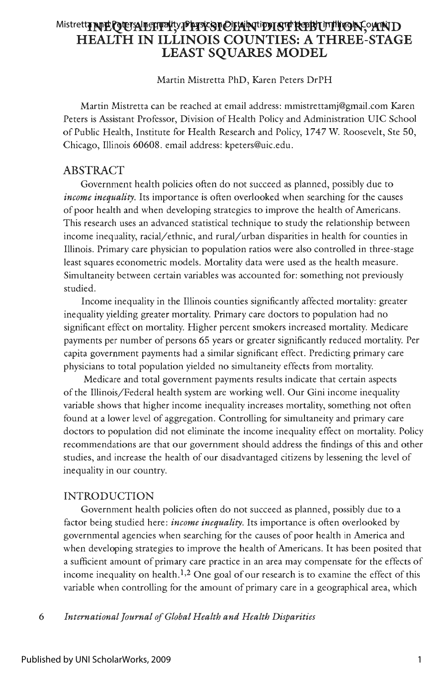## Mistrett**a ANE QEIAILENTY, PHYSICIAN NUDIST REBUITION, AND HEALTH IN ILLINOIS COUNTIES: A THREE-STAGE LEAST SQUARES MODEL**

Martin Mistretta PhD, Karen Peters DrPH

Martin Mistretta can be reached at email address: mmistrettamj@gmail.com Karen Peters is Assistant Professor, Division of Health Policy and Administration UIC School of Public Health, Institute for Health Research and Policy, 1747 W. Roosevelt, Ste 50, Chicago, Illinois 60608. email address: kpeters@uic.edu.

## ABSTRACT

Government health policies often do not succeed as planned, possibly due to *income inequality.* Its importance is often overlooked when searching for the causes of poor health and when developing strategies to improve the health of Americans. This research uses an advanced statistical technique to study the relationship between income inequality, racial/ethnic, and rural/urban disparities in health for counties in Illinois. Primary care physician to population ratios were also controlled in three-stage least squares econometric models. Mortality data were used as the health measure. Simultaneity between certain variables was accounted for: something not previously studied.

Income inequality in the Illinois counties significantly affected mortality: greater inequality yielding greater mortality. Primary care doctors to population had no significant effect on mortality. Higher percent smokers increased mortality. Medicare payments per number of persons 65 years or greater significantly reduced mortality. Per capita government payments had a similar significant effect. Predicting primary care physicians to total population yielded no simultaneity effects from mortality.

Medicare and total government payments results indicate that certain aspects of the Illinois/Federal health system are working well . Our Gini income inequality variable shows that higher income inequality increases mortality, something not often found at a lower level of aggregation. Controlling for simultaneity and primary care doctors to population did not eliminate the income inequality effect on mortality. Policy recommendations are that our government should address the findings of this and other studies, and increase the health of our disadvantaged citizens by lessening the level of inequality in our country.

## INTRODUCTION

Government health policies often do not succeed as planned, possibly due to a factor being studied here: *income inequality.* Its importance is often overlooked by governmental agencies when searching for the causes of poor health in America and when developing strategies to improve the health of Americans. It has been posited that a sufficient amount of primary care practice in an area may compensate for the effects of income inequality on health.<sup>1,2</sup> One goal of our research is to examine the effect of this variable when controlling for the amount of primary care in a geographical area, which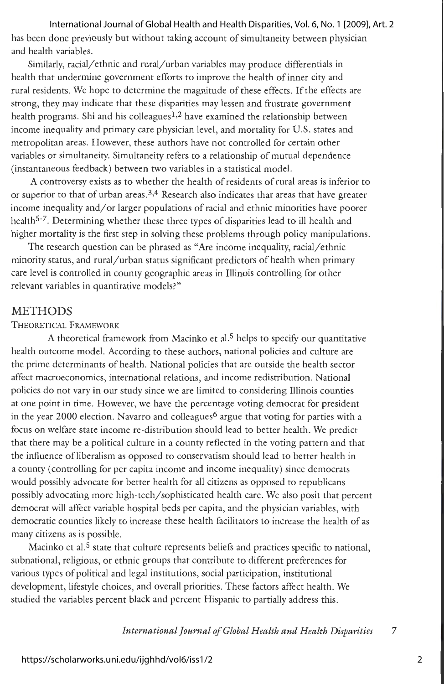#### International Journal of Global Health and Health Disparities, Vol. 6, No. 1 [2009], Art. 2

has been done previously but without taking account of simultaneity between physician and health variables.

Similarly, racial/ethnic and rural/urban variables may produce differentials in health that undermine government efforts to improve the health of inner city and rural residents. We hope to determine the magnitude of these effects. If the effects are strong, they may indicate that these disparities may lessen and frustrate government health programs. Shi and his colleagues<sup>1,2</sup> have examined the relationship between income inequality and primary care physician level, and mortality for U.S. states and metropolitan areas. However, these authors have not controlled for certain other variables or simultaneity. Simultaneity refers to a relationship of mutual dependence (instantaneous feedback ) between two variables in a statistical model.

A controversy exists as to whether the health of residents of rural areas is inferior to or superior to that of urban areas.<sup>3,4</sup> Research also indicates that areas that have greater income inequality and/or larger populations of racial and ethnic minorities have poorer health<sup>5-7</sup>. Determining whether these three types of disparities lead to ill health and higher mortality is the first step in solving these problems through policy manipulations.

The research question can be phrased as "Are income inequality, racial/ethnic minority status, and rural/urban status significant predictors of health when primary care level is controlled in county geographic areas in Illinois controlling for other relevant variables in quantitative models?"

## **METHODS**

#### THEORETICAL FRAMEWORK

A theoretical framework from Macinko et al.<sup>5</sup> helps to specify our quantitative health outcome model. According to these authors, national policies and culture are the prime determinants of health. National policies that are outside the health sector affect macroeconomics, international relations, and income redistribution. National policies do not vary in our study since we are limited to considering Illinois counties at one point in time. However, we have the percentage voting democrat for president in the year 2000 election. Navarro and colleagues<sup>6</sup> argue that voting for parties with a focus on welfare state income re-distribution should lead to better health. We predict that there may be a political culture in a county reflected in the voting pattern and that the influence of liberalism as opposed to conservatism should lead to better health in a county ( controlling for per capita income and income inequality) since democrats would possibly advocate for better health for all citizens as opposed to republicans possibly advocating more high-tech/ sophisticated health care. We also posit that percent democrat will affect variable hospital beds per capita, and the physician variables, with democratic counties likely to increase these health facilitators to increase the health of as many citizens as is possible.

Macinko et al.<sup>5</sup> state that culture represents beliefs and practices specific to national, subnational, religious, or ethnic groups that contribute to different preferences for various types of political and legal institutions, social participation, institutional development, lifestyle choices, and overall priorities. These factors affect health. We studied the variables percent black and percent Hispanic to partially address this.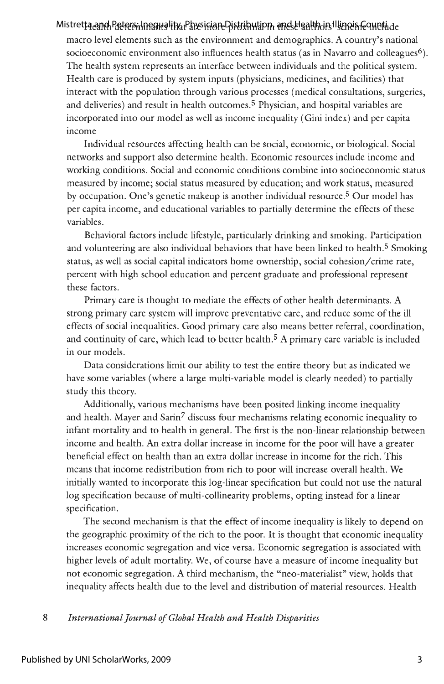## Mistretta and Peters Inequality, Physician Distribution, and Health in Illinois Countide

macro level elements such as the environment and demographics. A country's national socioeconomic environment also influences health status (as in Navarro and colleagues<sup>6</sup>). The health system represents an interface between individuals and the political system. Health care is produced by system inputs (physicians, medicines, and facilities) that interact with the population through various processes (medical consultations, surgeries, and deliveries) and result in health outcomes.5 Physician, and hospital variables are incorporated into our model as well as income inequality (Gini index) and per capita income

Individual resources affecting health can be social, economic, or biological. Social networks and support also determine health. Economic resources include income and working conditions. Social and economic conditions combine into socioeconomic status measured by income; social status measured by education; and work status, measured by occupation. One's genetic makeup is another individual resource. 5 Our model has per capita income, and educational variables to partially determine the effects of these variables.

Behavioral factors include lifestyle, particularly drinking and smoking. Participation and volunteering are also individual behaviors that have been linked to health.<sup>5</sup> Smoking status, as well as social capital indicators home ownership, social cohesion/crime rate, percent with high school education and percent graduate and professional represent these factors.

Primary care is thought to mediate the effects of other health determinants. A strong primary care system will improve preventative care, and reduce some of the ill effects of social inequalities. Good primary care also means better referral, coordination, and continuity of care, which lead to better health.<sup>5</sup> A primary care variable is included in our models.

Data considerations limit our ability to test the entire theory but as indicated we have some variables (where a large multi-variable model is clearly needed) to partially study this theory.

Additionally, various mechanisms have been posited linking income inequality and health. Mayer and Sarin<sup>7</sup> discuss four mechanisms relating economic inequality to infant mortality and to health in general. The first is the non-linear relationship between income and health. An extra dollar increase in income for the poor will have a greater beneficial effect on health than an extra dollar increase in income for the rich. This means that income redistribution from rich to poor will increase overall health. We initially wanted to incorporate this log-linear specification but could not use the natural log specification because of multi-collinearity problems, opting instead for a linear specification.

The second mechanism is that the effect of income inequality is likely to depend on the geographic proximity of the rich to the poor. It is thought that economic inequality increases economic segregation and vice versa. Economic segregation is associated with higher levels of adult mortality. We, of course have a measure of income inequality but not economic segregation. A third mechanism, the "neo-materialist" view, holds that inequality affects health due to the level and distribution of material resources. Health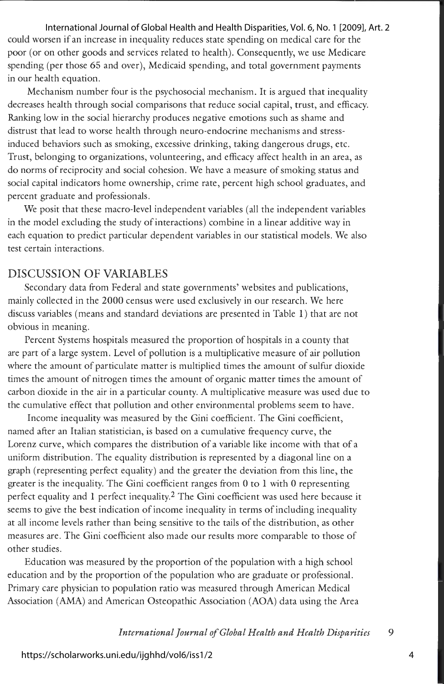could worsen if an increase in inequality reduces state spending on medical care for the poor ( or on other goods and services related to health). Consequently, we use Medicare spending (per those 65 and over), Medicaid spending, and total government payments in our health equation. International Journal of Global Health and Health Disparities, Vol. 6, No. 1 [2009], Art. 2

Mechanism number four is the psychosocial mechanism. It is argued that inequality decreases health through social comparisons that reduce social capital, trust, and efficacy. Ranking low in the social hierarchy produces negative emotions such as shame and distrust that lead to worse health through neuro-endocrine mechanisms and stressinduced behaviors such as smoking, excessive drinking, taking dangerous drugs, etc. Trust, belonging to organizations, volunteering, and efficacy affect health in an area, as do norms of reciprocity and social cohesion. We have a measure of smoking status and social capital indicators home ownership, crime rate, percent high school graduates, and percent graduate and professionals.

We posit that these macro-level independent variables (all the independent variables in the model excluding the study of interactions) combine in a linear additive way in each equation to predict particular dependent variables in our statistical models. We also test certain interactions.

## DISCUSSION OF VARIABLES

Secondary data from Federal and state governments' websites and publications, mainly collected in the 2000 census were used exclusively in our research. We here discuss variables ( means and standard deviations are presented in Table **1)** that are not obvious in meaning.

Percent Systems hospitals measured the proportion of hospitals in a county that are part of a large system. Level of pollution is a multiplicative measure of air pollution where the amount of particulate matter is multiplied times the amount of sulfur dioxide times the amount of nitrogen times the amount of organic matter times the amount of carbon dioxide in the air in a particular county. A multiplicative measure was used due to the cumulative effect that pollution and other environmental problems seem to have.

Income inequality was measured by the Gini coefficient. The Gini coefficient, named after an Italian statistician, is based on a cumulative frequency curve, the Lorenz curve, which compares the distribution of a variable like income with that of a uniform distribution. The equality distribution is represented by a diagonal line on a graph (representing perfect equality) and the greater the deviation from this line, the greater is the inequality. The Gini coefficient ranges from O to 1 with O representing perfect equality and **1** perfect inequality.2 The Gini coefficient was used here because it seems to give the best indication of income inequality in terms of including inequality at all income levels rather than being sensitive to the tails of the distribution, as other measures are. The Gini coefficient also made our results more comparable to those of other studies.

Education was measured by the proportion of the population with a high school education and by the proportion of the population who are graduate or professional. Primary care physician to population ratio was measured through American Medical Association (AMA) and American Osteopathic Association (AOA) data using the Area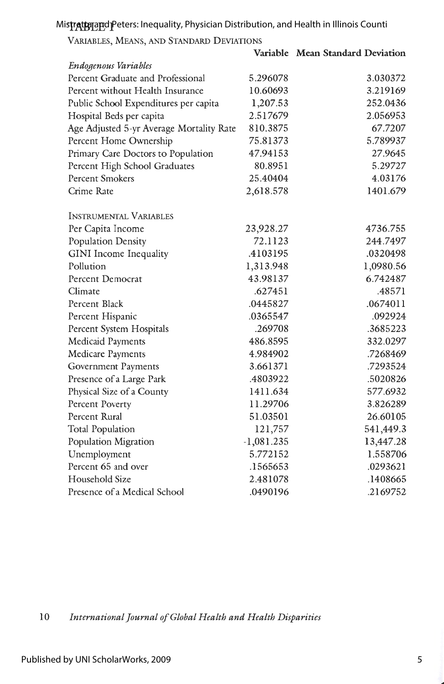Mis**tratta and P**eters: Inequality, Physician Distribution, and Health in Illinois Counti

VARIABLES, MEANS, AND STANDARD DEVIATIONS

**Variable Mean Standard Deviation** 

| <b>Endogenous Variables</b>              |              |           |
|------------------------------------------|--------------|-----------|
| Percent Graduate and Professional        | 5.296078     | 3.030372  |
| Percent without Health Insurance         | 10.60693     | 3.219169  |
| Public School Expenditures per capita    | 1,207.53     | 252.0436  |
| Hospital Beds per capita                 | 2.517679     | 2.056953  |
| Age Adjusted 5-yr Average Mortality Rate | 810.3875     | 67.7207   |
| Percent Home Ownership                   | 75.81373     | 5.789937  |
| Primary Care Doctors to Population       | 47.94153     | 27.9645   |
| Percent High School Graduates            | 80.8951      | 5.29727   |
| <b>Percent Smokers</b>                   | 25.40404     | 4.03176   |
| Crime Rate                               | 2,618.578    | 1401.679  |
| <b>INSTRUMENTAL VARIABLES</b>            |              |           |
| Per Capita Income                        | 23,928.27    | 4736.755  |
| Population Density                       | 72.1123      | 244.7497  |
| GINI Income Inequality                   | .4103195     | .0320498  |
| Pollution                                | 1,313.948    | 1,0980.56 |
| <b>Percent Democrat</b>                  | 43.98137     | 6.742487  |
| Climate                                  | .627451      | .48571    |
| Percent Black                            | .0445827     | .0674011  |
| Percent Hispanic                         | .0365547     | .092924   |
| Percent System Hospitals                 | .269708      | .3685223  |
| <b>Medicaid Payments</b>                 | 486.8595     | 332.0297  |
| <b>Medicare Payments</b>                 | 4.984902     | .7268469  |
| <b>Government Payments</b>               | 3.661371     | .7293524  |
| Presence of a Large Park                 | .4803922     | .5020826  |
| Physical Size of a County                | 1411.634     | 577.6932  |
| Percent Poverty                          | 11.29706     | 3.826289  |
| Percent Rural                            | 51.03501     | 26.60105  |
| <b>Total Population</b>                  | 121,757      | 541,449.3 |
| Population Migration                     | $-1,081.235$ | 13,447.28 |
| Unemployment                             | 5.772152     | 1.558706  |
| Percent 65 and over                      | .1565653     | .0293621  |
| Household Size                           | 2.481078     | .1408665  |
| Presence of a Medical School             | .0490196     | .2169752  |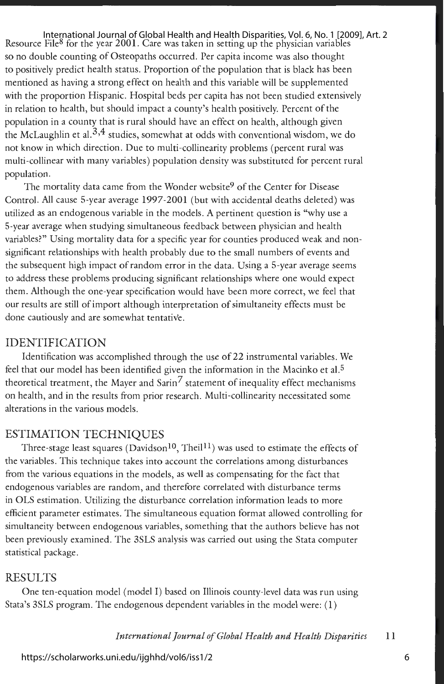International Journal of Global Health and Health Disparities, Vol. 6, No. 1 [2009], Art. 2<br>Resource File® for the year 2001. Care was taken in setting up the physician variables so no double counting of Osteopaths occurred. Per capita income was also thought to positively predict health status. Proportion of the population that is black has been mentioned as having a strong effect on health and this variable will be supplemented with the proportion Hispanic. Hospital beds per capita has not been studied extensively in relation to health, but should impact a county's health positively. Percent of the population in a county that is rural should have an effect on health, although given the McLaughlin et al. $^{3,4}$  studies, somewhat at odds with conventional wisdom, we do not know in which direction. Due to multi-collinearity problems (percent rural was multi-collinear with many variables) population density was substituted for percent rural population.

The mortality data came from the Wonder website<sup>9</sup> of the Center for Disease Control. All cause 5-year average 1997-2001 (but with accidental deaths deleted) was utilized as an endogenous variable in the models. A pertinent question is "why use a 5-year average when studying simultaneous feedback between physician and health variables?" Using mortality data for a specific year for counties produced weak and nonsignificant relationships with health probably due to the small numbers of events and the subsequent high impact of random error in the data. Using a 5-year average seems to address these problems producing significant relationships where one would expect them. Although the one-year specification would have been more correct, we feel that our results are still of import although interpretation of simultaneity effects must be done cautiously and are somewhat tentative.

## IDENTIFICATION

Identification was accomplished through the use of 22 instrumental variables. We feel that our model has been identified given the information in the Macinko et al.<sup>5</sup> theoretical treatment, the Mayer and Sarin<sup>7</sup> statement of inequality effect mechanisms on health, and in the results from prior research. Multi-collinearity necessitated some alterations in the various models.

#### ESTIMATION TECHNIQUES

Three-stage least squares (Davidson<sup>10</sup>, Theil<sup>11</sup>) was used to estimate the effects of the variables. This technique takes into account the correlations among disturbances from the various equations in the models, as well as compensating for the fact that endogenous variables are random, and therefore correlated with disturbance terms in OLS estimation. Utilizing the disturbance correlation information leads to more efficient parameter estimates. The simultaneous equation format allowed controlling for simultaneity between endogenous variables, something that the authors believe has not been previously examined. The 3SLS analysis was carried out using the Stata computer statistical package.

## **RESULTS**

One ten-equation model (model I) based on Illinois county-level data was run using Stata's 3SLS program. The endogenous dependent variables in the model were: ( **1)**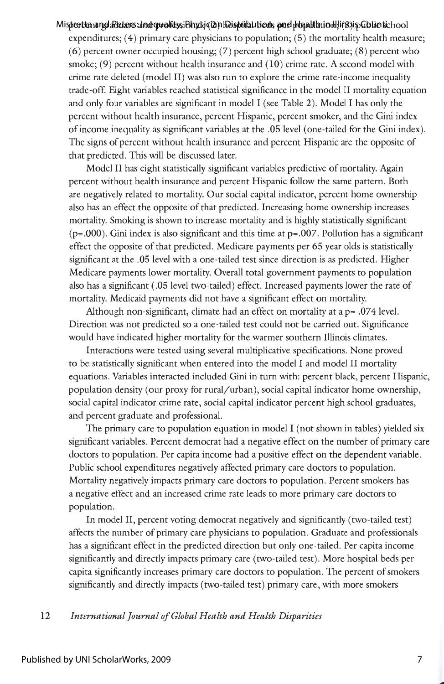#### Misprertta angdaRatans: Inelquallity, iBhydigi and Disprital tions, and phyalth tin Ill If objeCol in tich oo l

expenditures;  $(4)$  primary care physicians to population;  $(5)$  the mortality health measure; (6) percent owner occupied housing; (7) percent high school graduate; (8) percent who smoke; (9) percent without health insurance and (10) crime rate. A second model with crime rate deleted (model II) was also run to explore the crime rate-income inequality trade-off Eight variables reached statistical significance in the model II mortality equation and only four variables are significant in model I (see Table 2). Model I has only the percent without health insurance, percent Hispanic, percent smoker, and the Gini index of income inequality as significant variables at the .05 level (one-tailed for the Gini index). The signs of percent without health insurance and percent Hispanic are the opposite of that predicted. This will be discussed later.

Model II has eight statistically significant variables predictive of mortality. Again percent without health insurance and percent Hispanic follow the same pattern. Both are negatively related to mortality. Our social capital indicator, percent home ownership also has an effect the opposite of that predicted. Increasing home ownership increases mortality. Smoking is shown to increase mortality and is highly statistically significant  $(p=.000)$ . Gini index is also significant and this time at  $p=.007$ . Pollution has a significant effect the opposite of that predicted. Medicare payments per 65 year olds is statistically significant at the .05 level with a one-tailed test since direction is as predicted. Higher Medicare payments lower mortality. Overall total government payments to population also has a significant ( .05 level two-tailed) effect. Increased payments lower the rate of mortality. Medicaid payments did not have a significant effect on mortality.

Although non-significant, climate had an effect on mortality at a  $p = .074$  level. Direction was not predicted so a one-tailed test could not be carried out. Significance would have indicated higher mortality for the warmer southern Illinois climates.

Interactions were tested using several multiplicative specifications. None proved to be statistically significant when entered into the model I and model II mortality equations. Variables interacted included Gini in turn with: percent black, percent Hispanic, population density (our proxy for rural/urban), social capital indicator home ownership, social capital indicator crime rate, social capital indicator percent high school graduates, and percent graduate and professional.

The primary care to population equation in model I (not shown in tables) yielded six significant variables. Percent democrat had a negative effect on the number of primary care doctors to population. Per capita income had a positive effect on the dependent variable. Public school expenditures negatively affected primary care doctors to population. Mortality negatively impacts primary care doctors to population. Percent smokers has a negative effect and an increased crime rate leads to more primary care doctors to population.

In model II, percent voting democrat negatively and significantly ( two-tailed test) affects the number of primary care physicians to population. Graduate and professionals has a significant effect in the predicted direction but only one-tailed. Per capita income significantly and directly impacts primary care (two-tailed test). More hospital beds per capita significantly increases primary care doctors to population. The percent of smokers significantly and directly impacts (two-tailed test) primary care, with more smokers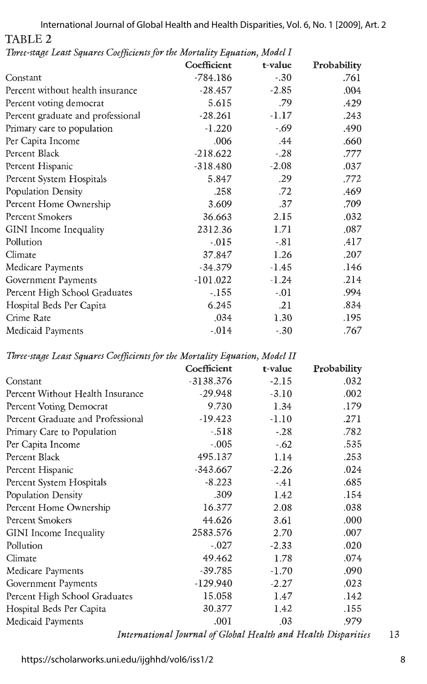TABLE<sub>2</sub> International Journal of Global Health and Health Disparities, Vol. 6, No. 1 [2009], Art. 2

|                                   | Coefficient | t-value | Probability |
|-----------------------------------|-------------|---------|-------------|
| Constant                          | $-784.186$  | $-.30$  | .761        |
| Percent without health insurance  | $-28.457$   | $-2.85$ | .004        |
| Percent voting democrat           | 5.615       | .79     | .429        |
| Percent graduate and professional | $-28.261$   | $-1.17$ | .243        |
| Primary care to population        | $-1.220$    | $-.69$  | .490        |
| Per Capita Income                 | .006        | .44     | .660        |
| Percent Black                     | $-218.622$  | $-.28$  | .777        |
| Percent Hispanic                  | $-318.480$  | $-2.08$ | .037        |
| Percent System Hospitals          | 5.847       | .29     | .772        |
| Population Density                | .258        | .72     | .469        |
| Percent Home Ownership            | 3.609       | .37     | .709        |
| Percent Smokers                   | 36.663      | 2.15    | .032        |
| GINI Income Inequality            | 2312.36     | 1.71    | .087        |
| Pollution                         | $-0.015$    | $-.81$  | .417        |
| Climate                           | 37.847      | 1.26    | .207        |
| Medicare Payments                 | $-34.379$   | $-1.45$ | .146        |
| Government Payments               | $-101.022$  | $-1.24$ | .214        |
| Percent High School Graduates     | $-155$      | $-.01$  | .994        |
| Hospital Beds Per Capita          | 6.245       | .21     | .834        |
| Crime Rate                        | .034        | 1.30    | .195        |
| Medicaid Payments                 | $-0.014$    | $-.30$  | .767        |

*Three-stage Least Squares Coefficients for the Mortality Equation, Model I* 

*Three-stage Least Squares Coefficients for the Mortality Equation, Model II* 

|                                   | Coefficient | t-value | Probability |
|-----------------------------------|-------------|---------|-------------|
| Constant                          | $-3138.376$ | $-2.15$ | .032        |
| Percent Without Health Insurance  | $-29.948$   | $-3.10$ | .002        |
| Percent Voting Democrat           | 9.730       | 1.34    | .179        |
| Percent Graduate and Professional | $-19.423$   | $-1.10$ | .271        |
| Primary Care to Population        | $-.518$     | $-.28$  | .782        |
| Per Capita Income                 | $-.005$     | $-.62$  | .535        |
| Percent Black                     | 495.137     | 1.14    | .253        |
| Percent Hispanic                  | $-343.667$  | $-2.26$ | .024        |
| Percent System Hospitals          | $-8.223$    | $-41$   | .685        |
| Population Density                | .309        | 1.42    | .154        |
| Percent Home Ownership            | 16.377      | 2.08    | .038        |
| <b>Percent Smokers</b>            | 44.626      | 3.61    | .000        |
| GINI Income Inequality            | 2583.576    | 2.70    | .007        |
| Pollution                         | $-.027$     | $-2.33$ | .020        |
| Climate                           | 49.462      | 1.78    | .074        |
| Medicare Payments                 | $-39.785$   | $-1.70$ | .090        |
| Government Payments               | $-129.940$  | $-2.27$ | .023        |
| Percent High School Graduates     | 15.058      | 1.47    | .142        |
| Hospital Beds Per Capita          | 30.377      | 1.42    | .155        |
| Medicaid Payments                 | .001        | .03     | .979        |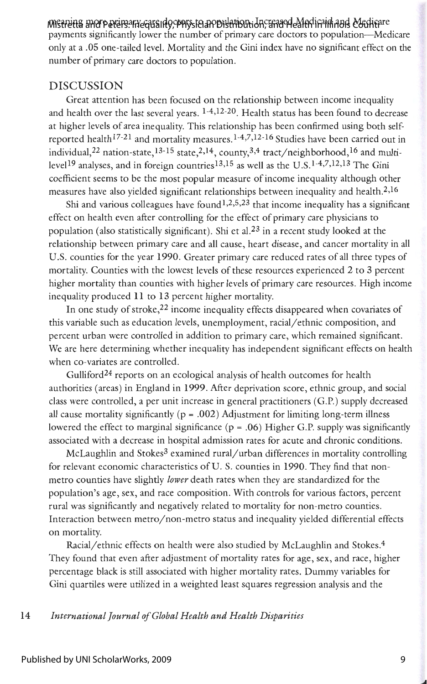### MI<del>streitta</del> and Peters: Inequality, Physician Distribution, and Health in Illinois Counti<sup>are</sup>

payments significantly lower the number of primary care doctors to population-Medicare only at a .05 one-tailed level. Mortality and the Gini index have no significant effect on the number of primary care doctors to population.

## DISCUSSION

Great attention has been focused on the relationship between income inequality and health over the last several years. 1-4,12-20. Health status has been found to decrease at higher levels of area inequality. This relationship has been confirmed using both selfreported health<sup>17-21</sup> and mortality measures.<sup>1-4,7,12-16</sup> Studies have been carried out in individual,<sup>22</sup> nation-state,<sup>13-15</sup> state,<sup>2,14</sup>, county,<sup>3,4</sup> tract/neighborhood,<sup>16</sup> and multi level<sup>19</sup> analyses, and in foreign countries<sup>13,15</sup> as well as the U.S.<sup>1-4,7,12,13</sup> The Gini coefficient seems to be the most popular measure of income inequality although other measures have also yielded significant relationships between inequality and health.<sup>2,16</sup>

Shi and various colleagues have found  $1,2,5,23$  that income inequality has a significant effect on health even after controlling for the effect of primary care physicians to population (also statistically significant). Shi et al.<sup>23</sup> in a recent study looked at the relationship between primary care and all cause, heart disease, and cancer mortality in all U.S. counties for the year 1990. Greater primary care reduced rates of all three types of mortality. Counties with the lowest levels of these resources experienced 2 to 3 percent higher mortality than counties with higher levels of primary care resources. High income inequality produced **11** to **13** percent higher mortality.

In one study of stroke,  $22$  income inequality effects disappeared when covariates of this variable such as education levels, unemployment, racial/ethnic composition, and percent urban were controlled in addition to primary care, which remained significant. We are here determining whether inequality has independent significant effects on health when co-variates are controlled.

Gulliford<sup>24</sup> reports on an ecological analysis of health outcomes for health authorities (areas) in England in 1999. After deprivation score, ethnic group, and social class were controlled, a per unit increase in general practitioners (G.P.) supply decreased all cause mortality significantly ( $p = .002$ ) Adjustment for limiting long-term illness lowered the effect to marginal significance (p = .06) Higher G.P. supply was significantly associated with a decrease in hospital admission rates for acute and chronic conditions.

McLaughlin and Stokes<sup>3</sup> examined rural/urban differences in mortality controlling for relevant economic characteristics of U. S. counties in 1990. They find that nonmetro counties have slightly *lower* death rates when they are standardized for the population's age, sex, and race composition. With controls for various factors, percent rural was significantly and negatively related to mortality for non-metro counties. Interaction between metro/ non-metro status and inequality yielded differential effects on mortality.

Racial/ethnic effects on health were also studied by McLaughlin and Stokes. 4 They found that even after adjustment of mortality rates for age, sex, and race, higher percentage black is still associated with higher mortality rates. Dummy variables for Gini quartiles were utilized in a weighted least squares regression analysis and the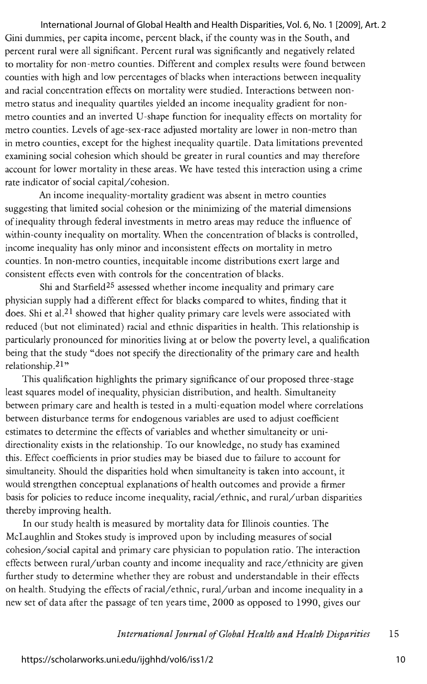Gini dummies, per capita income, percent black, if the county was in the South, and percent rural were all significant. Percent rural was significantly and negatively related to mortality for non-metro counties. Different and complex results were found between counties with high and low percentages of blacks when interactions between inequality and racial concentration effects on mortality were studied. Interactions between nonmetro status and inequality quartiles yielded an income inequality gradient for nonmetro counties and an inverted U-shape function for inequality effects on mortality for metro counties. Levels of age-sex-race adjusted mortality are lower in non-metro than in metro counties, except for the highest inequality quartile. Data limitations prevented examining social cohesion which should be greater in rural counties and may therefore account for lower mortality in these areas. We have tested this interaction using a crime rate indicator of social capital/cohesion. International Journal of Global Health and Health Disparities, Vol. 6, No. 1 [2009], Art. 2

An income inequality-mortality gradient was absent in metro counties suggesting that limited social cohesion or the minimizing of the material dimensions of inequality through federal investments in metro areas may reduce the influence of within-county inequality on mortality. When the concentration of blacks is controlled, income inequality has only minor and inconsistent effects on mortality in metro counties. In non-metro counties, inequitable income distributions exert large and consistent effects even with controls for the concentration of blacks.

Shi and Starfield<sup>25</sup> assessed whether income inequality and primary care physician supply had a different effect for blacks compared to whites, finding that it does. Shi et al.<sup>21</sup> showed that higher quality primary care levels were associated with reduced (but not eliminated) racial and ethnic disparities in health. This relationship is particularly pronounced for minorities living at or below the poverty level, a qualification being that the study "does not specify the directionality of the primary care and health relationship.<sup>21</sup>"

This qualification highlights the primary significance of our proposed three-stage least squares model of inequality, physician distribution, and health. Simultaneity between primary care and health is tested in a multi-equation model where correlations between disturbance terms for endogenous variables are used to adjust coefficient estimates to determine the effects of variables and whether simultaneity or unidirectionality exists in the relationship. To our knowledge, no study has examined this. Effect coefficients in prior studies may be biased due to failure to account for simultaneity. Should the disparities hold when simultaneity is taken into account, it would strengthen conceptual explanations of health outcomes and provide a firmer basis for policies to reduce income inequality, racial/ethnic, and rural/urban disparities thereby improving health.

In our study health is measured by mortality data for Illinois counties. The McLaughlin and Stokes study is improved upon by including measures of social cohesion/ social capital and primary care physician to population ratio. The interaction effects between rural/urban county and income inequality and race/ethnicity are given further study to determine whether they are robust and understandable in their effects on health. Studying the effects of racial/ethnic, rural/urban and income inequality in a new set of data after the passage of ten years time, 2000 as opposed to 1990, gives our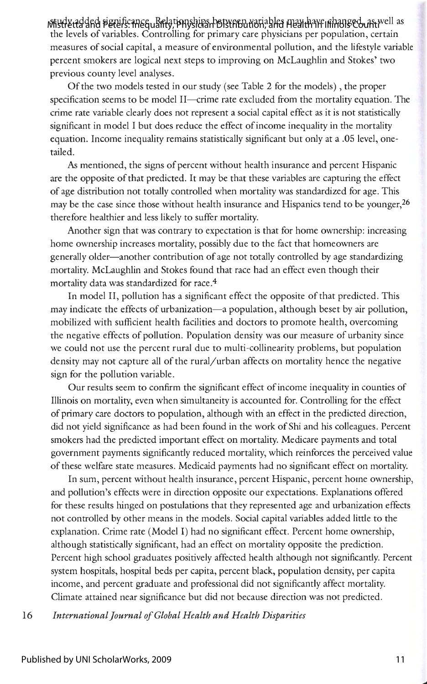with the figure of peters. The quality, Physician Distribution, and Health in Illinois Countivell as . the levels of variables. Controlling for primary care physicians per population, certain measures of social capital, a measure of environmental pollution, and the lifestyle variable percent smokers are logical next steps to improving on McLaughlin and Stokes' two previous county level analyses.

Of the two models tested in our study (see Table 2 for the models), the proper specification seems to be model II—crime rate excluded from the mortality equation. The crime rate variable clearly does not represent a social capital effect as it is not statistically significant in model I but does reduce the effect of income inequality in the mortality equation. Income inequality remains statistically significant but only at a .05 level, onetailed.

As mentioned, the signs of percent without health insurance and percent Hispanic are the opposite of that predicted. It may be that these variables are capturing the effect of age distribution not totally controlled when mortality was standardized for age. This may be the case since those without health insurance and Hispanics tend to be younger, 26 therefore healthier and less likely to suffer mortality.

Another sign that was contrary to expectation is that for home ownership: increasing home ownership increases mortality, possibly due to the fact that homeowners are generally older-another contribution of age not totally controlled by age standardizing mortality. McLaughlin and Stokes found that race had an effect even though their mortality data was standardized for race.<sup>4</sup>

In model II, pollution has a significant effect the opposite of that predicted. This may indicate the effects of urbanization-a population, although beset by air pollution, mobilized with sufficient health facilities and doctors to promote health, overcoming the negative effects of pollution. Population density was our measure of urbanity since we could not use the percent rural due to multi-collinearity problems, but population density may not capture all of the rural/urban affects on mortality hence the negative sign for the pollution variable.

Our results seem to confirm the significant effect of income inequality in counties of Illinois on mortality, even when simultaneity is accounted for. Controlling for the effect of primary care doctors to population, although with an effect in the predicted direction, did not yield significance as had been found in the work of Shi and his colleagues. Percent smokers had the predicted important effect on mortality. Medicare payments and total government payments significantly reduced mortality, which reinforces the perceived value of these welfare state measures. Medicaid payments had no significant effect on mortality.

In sum, percent without health insurance, percent Hispanic, percent home ownership, and pollution's effects were in direction opposite our expectations. Explanations offered for these results hinged on postulations that they represented age and urbanization effects not controlled by other means in the models. Social capital variables added little to the explanation. Crime rate (Model I) had no significant effect. Percent home ownership, although statistically significant, had an effect on mortality opposite the prediction. Percent high school graduates positively affected health although not significantly. Percent system hospitals, hospital beds per capita, percent black, population density, per capita income, and percent graduate and professional did not significantly affect mortality. Climate attained near significance but did not because direction was not predicted.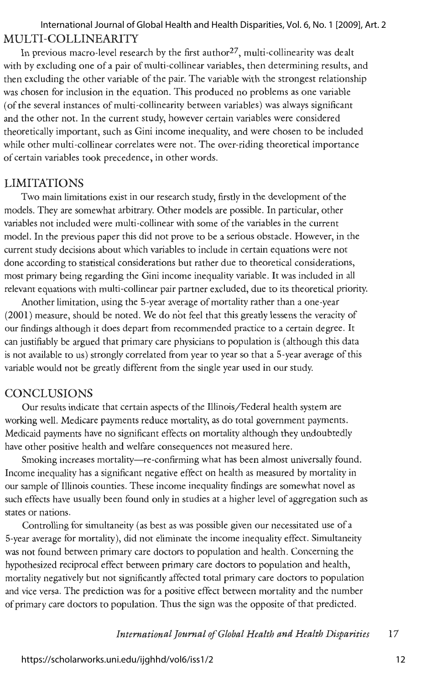## MULTI-COLLINEARITY International Journal of Global Health and Health Disparities, Vol. 6, No. 1 [2009], Art. 2

In previous macro-level research by the first author<sup>27</sup>, multi-collinearity was dealt with by excluding one of a pair of multi-collinear variables, then determining results, and then excluding the other variable of the pair. The variable with the strongest relationship was chosen for inclusion in the equation. This produced no problems as one variable (of the several instances of multi-collinearity between variables) was always significant and the other not. In the current study, however certain variables were considered theoretically important, such as Gini income inequality, and were chosen to be included while other multi-collinear correlates were not. The over-riding theoretical importance of certain variables took precedence, in other words.

## LIMITATIONS

Two main limitations exist in our research study, firstly in the development of the models. They are somewhat arbitrary. Other models are possible. In particular, other variables not included were multi-collinear with some of the variables in the current model. In the previous paper this did not prove to be a serious obstacle. However, in the current study decisions about which variables to include in certain equations were not done according to statistical considerations but rather due to theoretical considerations, most primary being regarding the Gini income inequality variable. It was included in all relevant equations with multi-collinear pair partner excluded, due to its theoretical priority.

Another limitation, using the 5-year average of mortality rather than a one-year (2001) measure, should be noted. We do not feel that this greatly lessens the veracity of our findings although it does depart from recommended practice to a certain degree. It can justifiably be argued that primary care physicians to population is ( although this data is not available to us) strongly correlated from year to year so that a 5-year average of this variable would not be greatly different from the single year used in our study.

## **CONCLUSIONS**

Our results indicate that certain aspects of the Illinois/Federal health system are working well. Medicare payments reduce mortality, as do total government payments. Medicaid payments have no significant effects on mortality although they undoubtedly have other positive health and welfare consequences not measured here.

Smoking increases mortality-re-confirming what has been almost universally found. Income inequality has a significant negative effect on health as measured by mortality in our sample of Illinois counties. These income inequality findings are somewhat novel as such effects have usually been found only in studies at a higher level of aggregation such as states or nations.

Controlling for simultaneity ( as best as was possible given our necessitated use of a 5-year average for mortality), did not eliminate the income inequality effect. Simultaneity was not found between primary care doctors to population and health. Concerning the hypothesized reciprocal effect between primary care doctors to population and health, mortality negatively but not significantly affected total primary care doctors to population and vice versa. The prediction was for a positive effect between mortality and the number of primary care doctors to population. Thus the sign was the opposite of that predicted.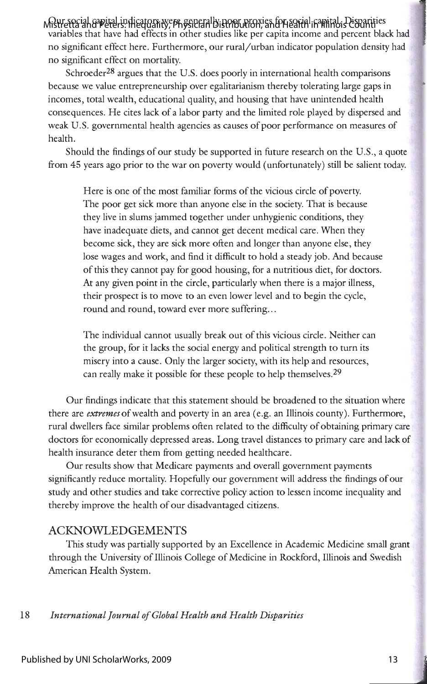Our social capital indicators were generally poor proxies for social capital. Disparities Mistretta and Peters: Inequality, Physician Distribution, and Health in Illinois Counti variables that have had effects in other studies like per capita income and percent black had no significant effect here. Furthermore, our rural/urban indicator population density had no significant effect on mortality.

Schroeder<sup>28</sup> argues that the U.S. does poorly in international health comparisons because we value entrepreneurship over egalitarianism thereby tolerating large gaps in incomes, total wealth, educational quality, and housing that have unintended health consequences. He cites lack of a labor party and the limited role played by dispersed and weak U.S. governmental health agencies as causes of poor performance on measures of health.

Should the findings of our study be supported in future research on the U.S., a quote from 45 years ago prior to the war on poverty would (unfortunately) still be salient today.

Here is one of the most familiar forms of the vicious circle of poverty. The poor get sick more than anyone else in the society. That is because they live in slums jammed together under unhygienic conditions, they have inadequate diets, and cannot get decent medical care. When they become sick, they are sick more often and longer than anyone else, they lose wages and work, and find it difficult to hold a steady job. And because of this they cannot pay for good housing, for a nutritious diet, for doctors. At any given point in the circle, particularly when there is a major illness, their prospect is to move to an even lower level and to begin the cycle, round and round, toward ever more suffering...

The individual cannot usually break out of this vicious circle. Neither can the group, for it lacks the social energy and political strength to turn its misery into a cause. Only the larger society, with its help and resources, can really make it possible for these people to help themselves.<sup>29</sup>

Our findings indicate that this statement should be broadened to the situation where there are *extremes* of wealth and poverty in an area (e.g. an Illinois county). Furthermore, rural dwellers face similar problems often related to the difficulty of obtaining primary care doctors for economically depressed areas. Long travel distances to primary care and lack of health insurance deter them from getting needed healthcare.

Our results show that Medicare payments and overall government payments significantly reduce mortality. Hopefully our government will address the findings of our study and other studies and take corrective policy action to lessen income inequality and thereby improve the health of our disadvantaged citizens.

## ACKNOWLEDGEMENTS

This study was partially supported by an Excellence in Academic Medicine small grant through the University of Illinois College of Medicine in Rockford, Illinois and Swedish American Health System.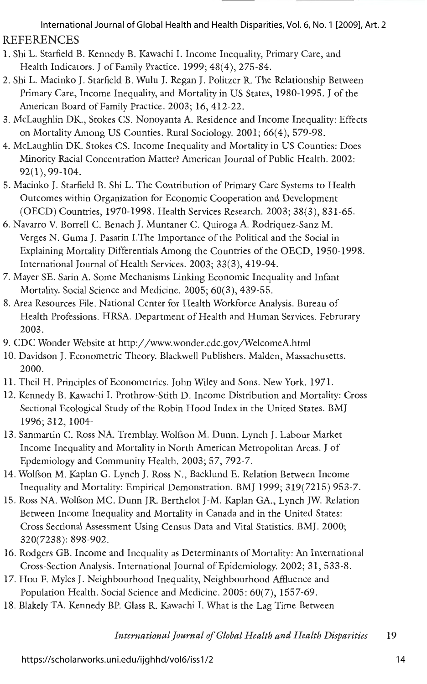REFERENCES International Journal of Global Health and Health Disparities, Vol. 6, No. 1 [2009], Art. 2

- 1. Shi L. Starfield B. Kennedy B. Kawachi I. Income Inequality, Primary Care, and Health Indicators. J of Family Practice. 1999; 48(4), 275-84.
- 2. Shi L. Macinko J. Starfield B. Wulu J. Regan J. Politzer R. The Relationship Between Primary Care, Income Inequality, and Mortality in US States, 1980-1995. J of the American Board of Family Practice. 2003; 16, 412-22.
- 3. McLaughlin DK., Stokes CS. Nonoyanta A. Residence and Income Inequality: Effects on Mortality Among US Counties. Rural Sociology. 2001; 66(4), 579-98 .
- 4. McLaughlin DK. Stokes CS. Income Inequality and Mortality in US Counties: Does Minority Racial Concentration Matter? American Journal of Public Health. 2002: 92(1), 99-104.
- 5. Macinko J. Starfield B. Shi L. The Contribution of Primary Care Systems to Health Outcomes within Organization for Economic Cooperation and Development (OECD) Countries, 1970-1998. Health Services Research. 2003; 38(3), 831-65.
- 6. Navarro V. Borrell C. Benach J. Muntaner C. Quiroga A. Rodriquez-Sanz M. Verges N. Guma J. Pasarin I.The Importance of the Political and the Social in Explaining Mortality Differentials Among the Countries of the OECD, 1950-1998. International Journal of Health Services. 2003; 33(3), 419-94.
- 7. Mayer SE. Sarin A. Some Mechanisms Linking Economic Inequality and Infant Mortality. Social Science and Medicine. 2005; 60(3), 439-55.
- 8. Area Resources File. National Center for Health Workforce Analysis. Bureau of Health Professions. HRSA. Department of Health and Human Services. Februrary 2003.
- 9. CDC Wonder Website at http://www.wonder.cdc.gov/WelcomeA.html
- 10. Davidson J. Econometric Theory. Blackwell Publishers. Malden, Massachusetts. 2000.
- 11 . Theil H. Principles of Econometrics. John Wiley and Sons. New York. 1971.
- 12. Kennedy B. Kawachi I. Prothrow-Stith D. Income Distribution and Mortality: Cross Sectional Ecological Study of the Robin Hood Index in the United States. BMJ 1996;312, 1004-
- 13. Sanmartin C. Ross NA. Tremblay. Wolfson M. Dunn. Lynch J. Labour Market Income Inequality and Mortality in North American Metropolitan Areas. J of Epdemiology and Community Health. 2003; 57, 792-7.
- 14. Wolfson M. Kaplan G. Lynch J. Ross N., Backlund E. Relation Between Income Inequality and Mortality: Empirical Demonstration. BMJ 1999; 319(7215) 953-7.
- 15. Ross NA. Wolfson MC. Dunn JR. Berthelot J-M. Kaplan GA., Lynch JW. Relation Between Income Inequality and Mortality in Canada and in the United States: Cross Sectional Assessment Using Census Data and Vital Statistics. BMJ. 2000; 320(7238): 898-902.
- 16. Rodgers GB. Income and Inequality as Determinants of Mortality: An International Cross-Section Analysis. International Journal of Epidemiology. 2002; 31, 533-8.
- 17. Hou F. Myles J. Neighbourhood Inequality, Neighbourhood Affluence and Population Health. Social Science and Medicine. 2005: 60(7), 1557-69.
- 18. Blakely TA. Kennedy BP. Glass R. Kawachi I. What is the Lag Time Between